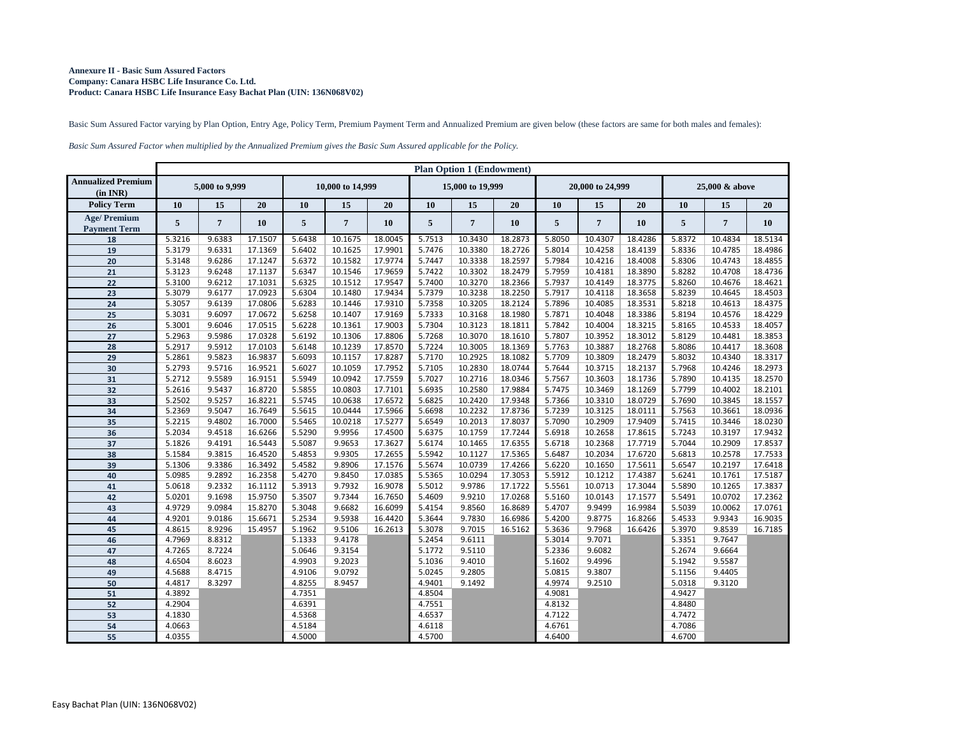## **Annexure II - Basic Sum Assured Factors Company: Canara HSBC Life Insurance Co. Ltd. Product: Canara HSBC Life Insurance Easy Bachat Plan (UIN: 136N068V02)**

Basic Sum Assured Factor varying by Plan Option, Entry Age, Policy Term, Premium Payment Term and Annualized Premium are given below (these factors are same for both males and females):

*Basic Sum Assured Factor when multiplied by the Annualized Premium gives the Basic Sum Assured applicable for the Policy.*

|                                           | <b>Plan Option 1 (Endowment)</b> |                |         |                  |                |         |                  |                |           |                  |                |           |                |                |           |
|-------------------------------------------|----------------------------------|----------------|---------|------------------|----------------|---------|------------------|----------------|-----------|------------------|----------------|-----------|----------------|----------------|-----------|
| <b>Annualized Premium</b><br>(in INR)     | 5,000 to 9,999                   |                |         | 10,000 to 14,999 |                |         | 15,000 to 19,999 |                |           | 20,000 to 24,999 |                |           | 25,000 & above |                |           |
| <b>Policy Term</b>                        | <b>10</b>                        | 15             | 20      | <b>10</b>        | 15             | 20      | <b>10</b>        | 15             | 20        | <b>10</b>        | 15             | 20        | 10             | 15             | 20        |
| <b>Age/Premium</b><br><b>Payment Term</b> | 5                                | $\overline{7}$ | 10      | 5                | $\overline{7}$ | 10      | 5                | $\overline{7}$ | <b>10</b> | $5\phantom{.0}$  | $\overline{7}$ | <b>10</b> | 5              | $\overline{7}$ | <b>10</b> |
| 18                                        | 5.3216                           | 9.6383         | 17.1507 | 5.6438           | 10.1675        | 18.0045 | 5.7513           | 10.3430        | 18.2873   | 5.8050           | 10.4307        | 18.4286   | 5.8372         | 10.4834        | 18.5134   |
| 19                                        | 5.3179                           | 9.6331         | 17.1369 | 5.6402           | 10.1625        | 17.9901 | 5.7476           | 10.3380        | 18.2726   | 5.8014           | 10.4258        | 18.4139   | 5.8336         | 10.4785        | 18.4986   |
| 20                                        | 5.3148                           | 9.6286         | 17.1247 | 5.6372           | 10.1582        | 17.9774 | 5.7447           | 10.3338        | 18.2597   | 5.7984           | 10.4216        | 18.4008   | 5.8306         | 10.4743        | 18.4855   |
| 21                                        | 5.3123                           | 9.6248         | 17.1137 | 5.6347           | 10.1546        | 17.9659 | 5.7422           | 10.3302        | 18.2479   | 5.7959           | 10.4181        | 18.3890   | 5.8282         | 10.4708        | 18.4736   |
| $22$                                      | 5.3100                           | 9.6212         | 17.1031 | 5.6325           | 10.1512        | 17.9547 | 5.7400           | 10.3270        | 18.2366   | 5.7937           | 10.4149        | 18.3775   | 5.8260         | 10.4676        | 18.4621   |
| 23                                        | 5.3079                           | 9.6177         | 17.0923 | 5.6304           | 10.1480        | 17.9434 | 5.7379           | 10.3238        | 18.2250   | 5.7917           | 10.4118        | 18.3658   | 5.8239         | 10.4645        | 18.4503   |
| 24                                        | 5.3057                           | 9.6139         | 17.0806 | 5.6283           | 10.1446        | 17.9310 | 5.7358           | 10.3205        | 18.2124   | 5.7896           | 10.4085        | 18.3531   | 5.8218         | 10.4613        | 18.4375   |
| 25                                        | 5.3031                           | 9.6097         | 17.0672 | 5.6258           | 10.1407        | 17.9169 | 5.7333           | 10.3168        | 18.1980   | 5.7871           | 10.4048        | 18.3386   | 5.8194         | 10.4576        | 18.4229   |
| 26                                        | 5.3001                           | 9.6046         | 17.0515 | 5.6228           | 10.1361        | 17.9003 | 5.7304           | 10.3123        | 18.1811   | 5.7842           | 10.4004        | 18.3215   | 5.8165         | 10.4533        | 18.4057   |
| 27                                        | 5.2963                           | 9.5986         | 17.0328 | 5.6192           | 10.1306        | 17.8806 | 5.7268           | 10.3070        | 18.1610   | 5.7807           | 10.3952        | 18.3012   | 5.8129         | 10.4481        | 18.3853   |
| 28                                        | 5.2917                           | 9.5912         | 17.0103 | 5.6148           | 10.1239        | 17.8570 | 5.7224           | 10.3005        | 18.1369   | 5.7763           | 10.3887        | 18.2768   | 5.8086         | 10.4417        | 18.3608   |
| 29                                        | 5.2861                           | 9.5823         | 16.9837 | 5.6093           | 10.1157        | 17.8287 | 5.7170           | 10.2925        | 18.1082   | 5.7709           | 10.3809        | 18.2479   | 5.8032         | 10.4340        | 18.3317   |
| 30                                        | 5.2793                           | 9.5716         | 16.9521 | 5.6027           | 10.1059        | 17.7952 | 5.7105           | 10.2830        | 18.0744   | 5.7644           | 10.3715        | 18.2137   | 5.7968         | 10.4246        | 18.2973   |
| 31                                        | 5.2712                           | 9.5589         | 16.9151 | 5.5949           | 10.0942        | 17.7559 | 5.7027           | 10.2716        | 18.0346   | 5.7567           | 10.3603        | 18.1736   | 5.7890         | 10.4135        | 18.2570   |
| 32                                        | 5.2616                           | 9.5437         | 16.8720 | 5.5855           | 10.0803        | 17.7101 | 5.6935           | 10.2580        | 17.9884   | 5.7475           | 10.3469        | 18.1269   | 5.7799         | 10.4002        | 18.2101   |
| 33                                        | 5.2502                           | 9.5257         | 16.8221 | 5.5745           | 10.0638        | 17.6572 | 5.6825           | 10.2420        | 17.9348   | 5.7366           | 10.3310        | 18.0729   | 5.7690         | 10.3845        | 18.1557   |
| 34                                        | 5.2369                           | 9.5047         | 16.7649 | 5.5615           | 10.0444        | 17.5966 | 5.6698           | 10.2232        | 17.8736   | 5.7239           | 10.3125        | 18.0111   | 5.7563         | 10.3661        | 18.0936   |
| 35                                        | 5.2215                           | 9.4802         | 16.7000 | 5.5465           | 10.0218        | 17.5277 | 5.6549           | 10.2013        | 17.8037   | 5.7090           | 10.2909        | 17.9409   | 5.7415         | 10.3446        | 18.0230   |
| 36                                        | 5.2034                           | 9.4518         | 16.6266 | 5.5290           | 9.9956         | 17.4500 | 5.6375           | 10.1759        | 17.7244   | 5.6918           | 10.2658        | 17.8615   | 5.7243         | 10.3197        | 17.9432   |
| 37                                        | 5.1826                           | 9.4191         | 16.5443 | 5.5087           | 9.9653         | 17.3627 | 5.6174           | 10.1465        | 17.6355   | 5.6718           | 10.2368        | 17.7719   | 5.7044         | 10.2909        | 17.8537   |
| 38                                        | 5.1584                           | 9.3815         | 16.4520 | 5.4853           | 9.9305         | 17.2655 | 5.5942           | 10.1127        | 17.5365   | 5.6487           | 10.2034        | 17.6720   | 5.6813         | 10.2578        | 17.7533   |
| 39                                        | 5.1306                           | 9.3386         | 16.3492 | 5.4582           | 9.8906         | 17.1576 | 5.5674           | 10.0739        | 17.4266   | 5.6220           | 10.1650        | 17.5611   | 5.6547         | 10.2197        | 17.6418   |
| 40                                        | 5.0985                           | 9.2892         | 16.2358 | 5.4270           | 9.8450         | 17.0385 | 5.5365           | 10.0294        | 17.3053   | 5.5912           | 10.1212        | 17.4387   | 5.6241         | 10.1761        | 17.5187   |
| 41                                        | 5.0618                           | 9.2332         | 16.1112 | 5.3913           | 9.7932         | 16.9078 | 5.5012           | 9.9786         | 17.1722   | 5.5561           | 10.0713        | 17.3044   | 5.5890         | 10.1265        | 17.3837   |
| 42                                        | 5.0201                           | 9.1698         | 15.9750 | 5.3507           | 9.7344         | 16.7650 | 5.4609           | 9.9210         | 17.0268   | 5.5160           | 10.0143        | 17.1577   | 5.5491         | 10.0702        | 17.2362   |
| 43                                        | 4.9729                           | 9.0984         | 15.8270 | 5.3048           | 9.6682         | 16.6099 | 5.4154           | 9.8560         | 16.8689   | 5.4707           | 9.9499         | 16.9984   | 5.5039         | 10.0062        | 17.0761   |
| 44                                        | 4.9201                           | 9.0186         | 15.6671 | 5.2534           | 9.5938         | 16.4420 | 5.3644           | 9.7830         | 16.6986   | 5.4200           | 9.8775         | 16.8266   | 5.4533         | 9.9343         | 16.9035   |
| 45                                        | 4.8615                           | 8.9296         | 15.4957 | 5.1962           | 9.5106         | 16.2613 | 5.3078           | 9.7015         | 16.5162   | 5.3636           | 9.7968         | 16.6426   | 5.3970         | 9.8539         | 16.7185   |
| 46                                        | 4.7969                           | 8.8312         |         | 5.1333           | 9.4178         |         | 5.2454           | 9.6111         |           | 5.3014           | 9.7071         |           | 5.3351         | 9.7647         |           |
| 47                                        | 4.7265                           | 8.7224         |         | 5.0646           | 9.3154         |         | 5.1772           | 9.5110         |           | 5.2336           | 9.6082         |           | 5.2674         | 9.6664         |           |
| 48                                        | 4.6504                           | 8.6023         |         | 4.9903           | 9.2023         |         | 5.1036           | 9.4010         |           | 5.1602           | 9.4996         |           | 5.1942         | 9.5587         |           |
| 49                                        | 4.5688                           | 8.4715         |         | 4.9106           | 9.0792         |         | 5.0245           | 9.2805         |           | 5.0815           | 9.3807         |           | 5.1156         | 9.4405         |           |
| 50                                        | 4.4817                           | 8.3297         |         | 4.8255           | 8.9457         |         | 4.9401           | 9.1492         |           | 4.9974           | 9.2510         |           | 5.0318         | 9.3120         |           |
| 51                                        | 4.3892                           |                |         | 4.7351           |                |         | 4.8504           |                |           | 4.9081           |                |           | 4.9427         |                |           |
| 52                                        | 4.2904                           |                |         | 4.6391           |                |         | 4.7551           |                |           | 4.8132           |                |           | 4.8480         |                |           |
| 53                                        | 4.1830                           |                |         | 4.5368           |                |         | 4.6537           |                |           | 4.7122           |                |           | 4.7472         |                |           |
| 54                                        | 4.0663                           |                |         | 4.5184           |                |         | 4.6118           |                |           | 4.6761           |                |           | 4.7086         |                |           |
| 55                                        | 4.0355                           |                |         | 4.5000           |                |         | 4.5700           |                |           | 4.6400           |                |           | 4.6700         |                |           |